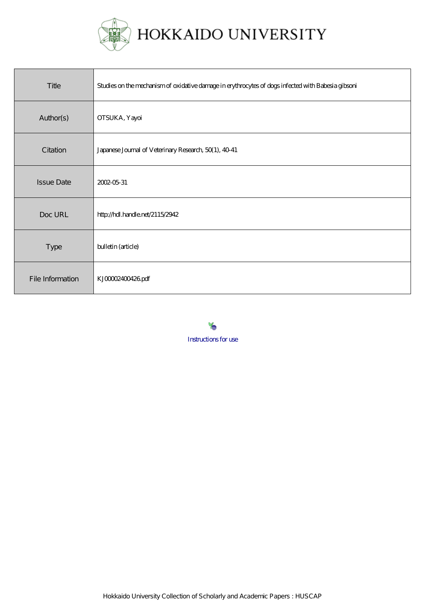

| Title             | Studies on the mechanism of oxidative damage in erythrocytes of dogs infected with Babesia gibsoni |
|-------------------|----------------------------------------------------------------------------------------------------|
| Author(s)         | <b>OTSUKA</b> , Yayoi                                                                              |
| Citation          | Japanese Journal of Veterinary Research, 50(1), 40-41                                              |
| <b>Issue Date</b> | 2002-05-31                                                                                         |
| Doc URL           | http://hdl.handle.net/2115/2942                                                                    |
| Type              | bulletin (article)                                                                                 |
| File Information  | KJ00002400426pdf                                                                                   |

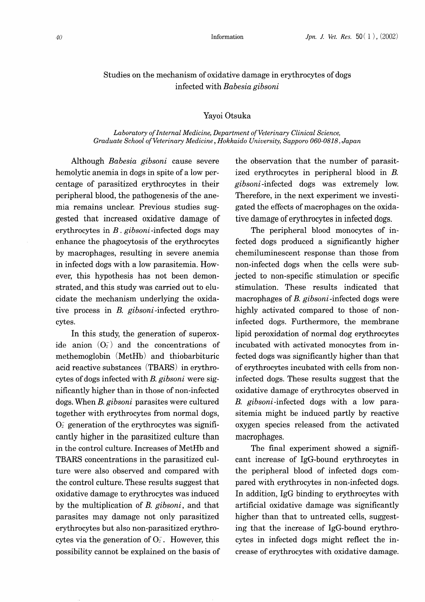# Studies on the mechanism of oxidative damage in erythrocytes of dogs infected with *Babesia gibsoni*

### Yayoi Otsuka

#### *Laboratory of Internal Medicine, Department of Veterinary Clinical Science, Graduate School of Veterinary Medicine, Hokkaido University, Sapporo 060-0818, Japan*

Although *Babesia gibsoni* cause severe hemolytic anemia in dogs in spite of a low percentage of parasitized erythrocytes in their peripheral blood, the pathogenesis of the anemia remains unclear. Previous studies suggested that increased oxidative damage of erythrocytes in *B. gibsoni-infected* dogs may enhance the phagocytosis of the erythrocytes by macrophages, resulting in severe anemia in infected dogs with a low parasitemia. However, this hypothesis has not been demonstrated, and this study was carried out to elucidate the mechanism underlying the oxidative process in *B. gibsoni* -infected erythrocytes.

In this study, the generation of superoxide anion  $(O_2^-)$  and the concentrations of methemoglobin (MetHb) and thiobarbituric acid reactive substances (TBARS) in erythrocytes of dogs infected with *B. gibsoni* were significantly higher than in those of non-infected dogs. When *B. gibsoni* parasites were cultured together with erythrocytes from normal dogs,  $O<sub>2</sub>$  generation of the erythrocytes was significantly higher in the parasitized culture than in the control culture. Increases of MetHb and TEARS concentrations in the parasitized culture were also observed and compared with the control culture. These results suggest that oxidative damage to erythrocytes was induced by the multiplication of *B. gibsoni,* and that parasites may damage not only parasitized erythrocytes but also non-parasitized erythrocytes via the generation of  $O<sub>2</sub>$ . However, this possibility cannot be explained on the basis of the observation that the number of parasitized erythrocytes in peripheral blood in B. *gibsoni* -infected dogs was extremely low. Therefore, in the next experiment we investigated the effects of macrophages on the oxidative damage of erythrocytes in infected dogs.

The peripheral blood monocytes of infected dogs produced a significantly higher chemiluminescent response than those from non-infected dogs when the cells were subjected to non-specific stimulation or specific stimulation. These results indicated that macrophages of *B. gibsoni-infected* dogs were highly activated compared to those of noninfected dogs. Furthermore, the membrane lipid peroxidation of normal dog erythrocytes incubated with activated monocytes from infected dogs was significantly higher than that of erythrocytes incubated with cells from noninfected dogs. These results suggest that the oxidative damage of erythrocytes observed in *B. gibsoni-infected* dogs with a low parasitemia might be induced partly by reactive oxygen species released from the activated macrophages.

The final experiment showed a significant increase of IgG-bound erythrocytes in the peripheral blood of infected dogs compared with erythrocytes in non-infected dogs. In addition, IgG binding to erythrocytes with artificial oxidative damage was significantly higher than that to untreated cells, suggesting that the increase of IgG-bound erythrocytes in infected dogs might reflect the increase of erythrocytes with oxidative damage.